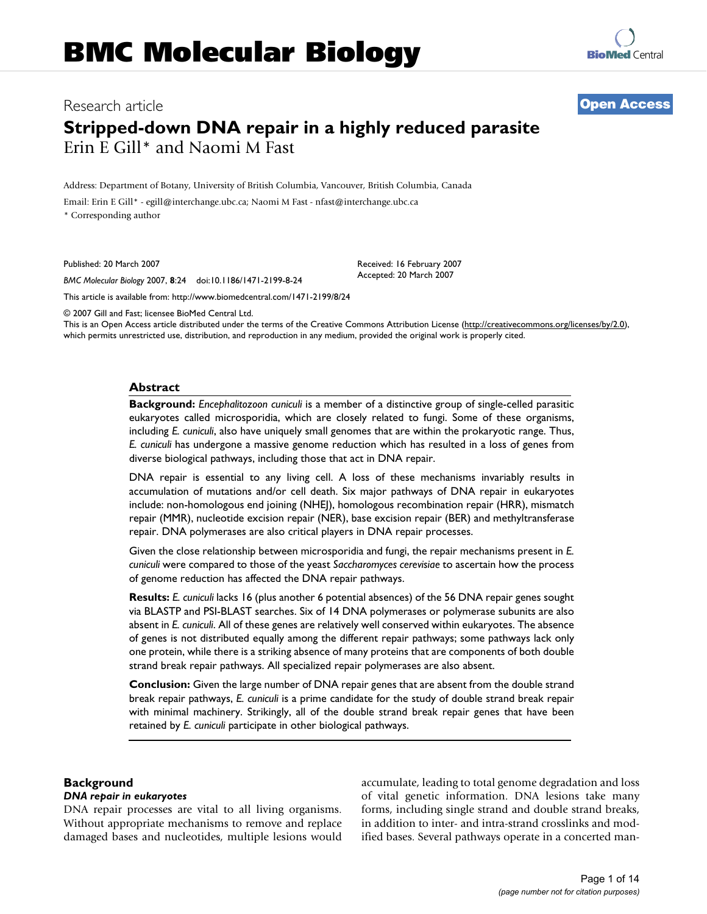# Research article **[Open Access](http://www.biomedcentral.com/info/about/charter/)**

# **Stripped-down DNA repair in a highly reduced parasite** Erin E Gill\* and Naomi M Fast

Address: Department of Botany, University of British Columbia, Vancouver, British Columbia, Canada

Email: Erin E Gill\* - egill@interchange.ubc.ca; Naomi M Fast - nfast@interchange.ubc.ca

\* Corresponding author

Published: 20 March 2007

Received: 16 February 2007 Accepted: 20 March 2007

*BMC Molecular Biology* 2007, **8**:24 doi:10.1186/1471-2199-8-24 [This article is available from: http://www.biomedcentral.com/1471-2199/8/24](http://www.biomedcentral.com/1471-2199/8/24)

© 2007 Gill and Fast; licensee BioMed Central Ltd.

This is an Open Access article distributed under the terms of the Creative Commons Attribution License [\(http://creativecommons.org/licenses/by/2.0\)](http://creativecommons.org/licenses/by/2.0), which permits unrestricted use, distribution, and reproduction in any medium, provided the original work is properly cited.

#### **Abstract**

**Background:** *Encephalitozoon cuniculi* is a member of a distinctive group of single-celled parasitic eukaryotes called microsporidia, which are closely related to fungi. Some of these organisms, including *E. cuniculi*, also have uniquely small genomes that are within the prokaryotic range. Thus, *E. cuniculi* has undergone a massive genome reduction which has resulted in a loss of genes from diverse biological pathways, including those that act in DNA repair.

DNA repair is essential to any living cell. A loss of these mechanisms invariably results in accumulation of mutations and/or cell death. Six major pathways of DNA repair in eukaryotes include: non-homologous end joining (NHEJ), homologous recombination repair (HRR), mismatch repair (MMR), nucleotide excision repair (NER), base excision repair (BER) and methyltransferase repair. DNA polymerases are also critical players in DNA repair processes.

Given the close relationship between microsporidia and fungi, the repair mechanisms present in *E. cuniculi* were compared to those of the yeast *Saccharomyces cerevisiae* to ascertain how the process of genome reduction has affected the DNA repair pathways.

**Results:** *E. cuniculi* lacks 16 (plus another 6 potential absences) of the 56 DNA repair genes sought via BLASTP and PSI-BLAST searches. Six of 14 DNA polymerases or polymerase subunits are also absent in *E. cuniculi*. All of these genes are relatively well conserved within eukaryotes. The absence of genes is not distributed equally among the different repair pathways; some pathways lack only one protein, while there is a striking absence of many proteins that are components of both double strand break repair pathways. All specialized repair polymerases are also absent.

**Conclusion:** Given the large number of DNA repair genes that are absent from the double strand break repair pathways, *E. cuniculi* is a prime candidate for the study of double strand break repair with minimal machinery. Strikingly, all of the double strand break repair genes that have been retained by *E. cuniculi* participate in other biological pathways.

#### **Background**

#### *DNA repair in eukaryotes*

DNA repair processes are vital to all living organisms. Without appropriate mechanisms to remove and replace damaged bases and nucleotides, multiple lesions would accumulate, leading to total genome degradation and loss of vital genetic information. DNA lesions take many forms, including single strand and double strand breaks, in addition to inter- and intra-strand crosslinks and modified bases. Several pathways operate in a concerted man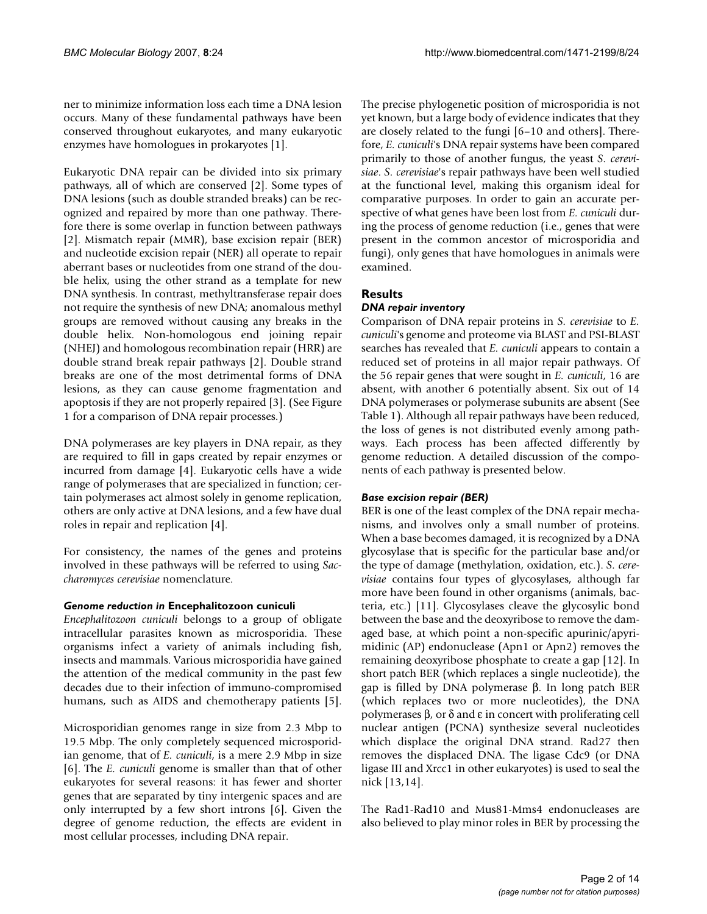ner to minimize information loss each time a DNA lesion occurs. Many of these fundamental pathways have been conserved throughout eukaryotes, and many eukaryotic enzymes have homologues in prokaryotes [1].

Eukaryotic DNA repair can be divided into six primary pathways, all of which are conserved [2]. Some types of DNA lesions (such as double stranded breaks) can be recognized and repaired by more than one pathway. Therefore there is some overlap in function between pathways [2]. Mismatch repair (MMR), base excision repair (BER) and nucleotide excision repair (NER) all operate to repair aberrant bases or nucleotides from one strand of the double helix, using the other strand as a template for new DNA synthesis. In contrast, methyltransferase repair does not require the synthesis of new DNA; anomalous methyl groups are removed without causing any breaks in the double helix. Non-homologous end joining repair (NHEJ) and homologous recombination repair (HRR) are double strand break repair pathways [2]. Double strand breaks are one of the most detrimental forms of DNA lesions, as they can cause genome fragmentation and apoptosis if they are not properly repaired [3]. (See Figure 1 for a comparison of DNA repair processes.)

DNA polymerases are key players in DNA repair, as they are required to fill in gaps created by repair enzymes or incurred from damage [4]. Eukaryotic cells have a wide range of polymerases that are specialized in function; certain polymerases act almost solely in genome replication, others are only active at DNA lesions, and a few have dual roles in repair and replication [4].

For consistency, the names of the genes and proteins involved in these pathways will be referred to using *Saccharomyces cerevisiae* nomenclature.

# *Genome reduction in* **Encephalitozoon cuniculi**

*Encephalitozoon cuniculi* belongs to a group of obligate intracellular parasites known as microsporidia. These organisms infect a variety of animals including fish, insects and mammals. Various microsporidia have gained the attention of the medical community in the past few decades due to their infection of immuno-compromised humans, such as AIDS and chemotherapy patients [5].

Microsporidian genomes range in size from 2.3 Mbp to 19.5 Mbp. The only completely sequenced microsporidian genome, that of *E. cuniculi*, is a mere 2.9 Mbp in size [6]. The *E. cuniculi* genome is smaller than that of other eukaryotes for several reasons: it has fewer and shorter genes that are separated by tiny intergenic spaces and are only interrupted by a few short introns [6]. Given the degree of genome reduction, the effects are evident in most cellular processes, including DNA repair.

The precise phylogenetic position of microsporidia is not yet known, but a large body of evidence indicates that they are closely related to the fungi [6–10 and others]. Therefore, *E. cuniculi*'s DNA repair systems have been compared primarily to those of another fungus, the yeast *S. cerevisiae*. *S. cerevisiae*'s repair pathways have been well studied at the functional level, making this organism ideal for comparative purposes. In order to gain an accurate perspective of what genes have been lost from *E. cuniculi* during the process of genome reduction (i.e., genes that were present in the common ancestor of microsporidia and fungi), only genes that have homologues in animals were examined.

# **Results**

# *DNA repair inventory*

Comparison of DNA repair proteins in *S. cerevisiae* to *E. cuniculi*'s genome and proteome via BLAST and PSI-BLAST searches has revealed that *E. cuniculi* appears to contain a reduced set of proteins in all major repair pathways. Of the 56 repair genes that were sought in *E. cuniculi*, 16 are absent, with another 6 potentially absent. Six out of 14 DNA polymerases or polymerase subunits are absent (See Table 1). Although all repair pathways have been reduced, the loss of genes is not distributed evenly among pathways. Each process has been affected differently by genome reduction. A detailed discussion of the components of each pathway is presented below.

# *Base excision repair (BER)*

BER is one of the least complex of the DNA repair mechanisms, and involves only a small number of proteins. When a base becomes damaged, it is recognized by a DNA glycosylase that is specific for the particular base and/or the type of damage (methylation, oxidation, etc.). *S. cerevisiae* contains four types of glycosylases, although far more have been found in other organisms (animals, bacteria, etc.) [11]. Glycosylases cleave the glycosylic bond between the base and the deoxyribose to remove the damaged base, at which point a non-specific apurinic/apyrimidinic (AP) endonuclease (Apn1 or Apn2) removes the remaining deoxyribose phosphate to create a gap [12]. In short patch BER (which replaces a single nucleotide), the gap is filled by DNA polymerase β. In long patch BER (which replaces two or more nucleotides), the DNA polymerases β, or δ and ε in concert with proliferating cell nuclear antigen (PCNA) synthesize several nucleotides which displace the original DNA strand. Rad27 then removes the displaced DNA. The ligase Cdc9 (or DNA ligase III and Xrcc1 in other eukaryotes) is used to seal the nick [13,14].

The Rad1-Rad10 and Mus81-Mms4 endonucleases are also believed to play minor roles in BER by processing the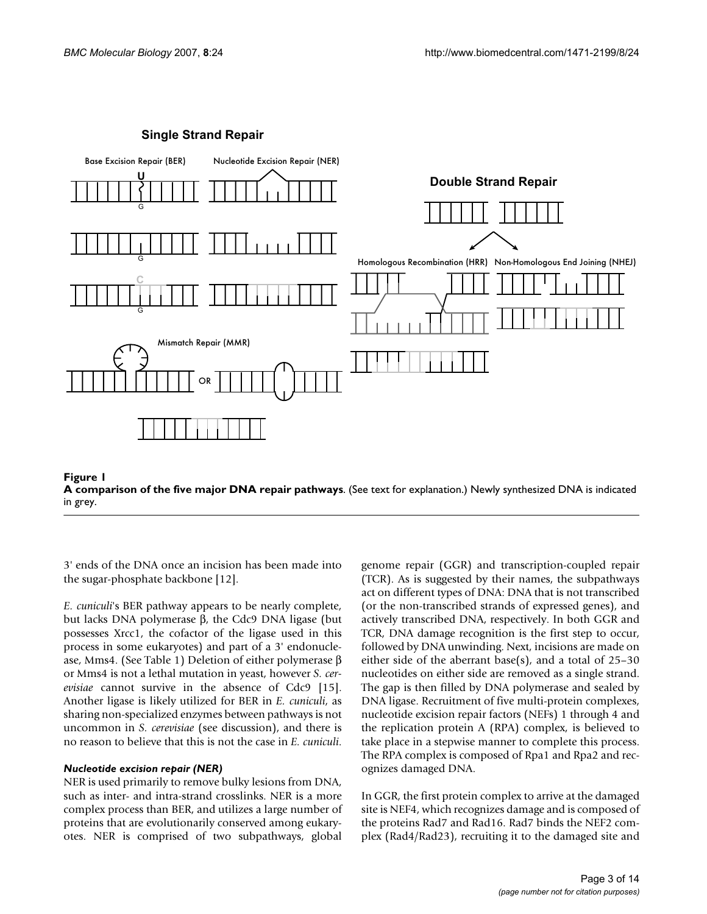

#### **Single Strand Repair**



3' ends of the DNA once an incision has been made into the sugar-phosphate backbone [12].

*E. cuniculi*'s BER pathway appears to be nearly complete, but lacks DNA polymerase β, the Cdc9 DNA ligase (but possesses Xrcc1, the cofactor of the ligase used in this process in some eukaryotes) and part of a 3' endonuclease, Mms4. (See Table 1) Deletion of either polymerase β or Mms4 is not a lethal mutation in yeast, however *S. cerevisiae* cannot survive in the absence of Cdc9 [15]. Another ligase is likely utilized for BER in *E. cuniculi*, as sharing non-specialized enzymes between pathways is not uncommon in *S. cerevisiae* (see discussion), and there is no reason to believe that this is not the case in *E. cuniculi*.

#### *Nucleotide excision repair (NER)*

NER is used primarily to remove bulky lesions from DNA, such as inter- and intra-strand crosslinks. NER is a more complex process than BER, and utilizes a large number of proteins that are evolutionarily conserved among eukaryotes. NER is comprised of two subpathways, global

genome repair (GGR) and transcription-coupled repair (TCR). As is suggested by their names, the subpathways act on different types of DNA: DNA that is not transcribed (or the non-transcribed strands of expressed genes), and actively transcribed DNA, respectively. In both GGR and TCR, DNA damage recognition is the first step to occur, followed by DNA unwinding. Next, incisions are made on either side of the aberrant base(s), and a total of 25–30 nucleotides on either side are removed as a single strand. The gap is then filled by DNA polymerase and sealed by DNA ligase. Recruitment of five multi-protein complexes, nucleotide excision repair factors (NEFs) 1 through 4 and the replication protein A (RPA) complex, is believed to take place in a stepwise manner to complete this process. The RPA complex is composed of Rpa1 and Rpa2 and recognizes damaged DNA.

In GGR, the first protein complex to arrive at the damaged site is NEF4, which recognizes damage and is composed of the proteins Rad7 and Rad16. Rad7 binds the NEF2 complex (Rad4/Rad23), recruiting it to the damaged site and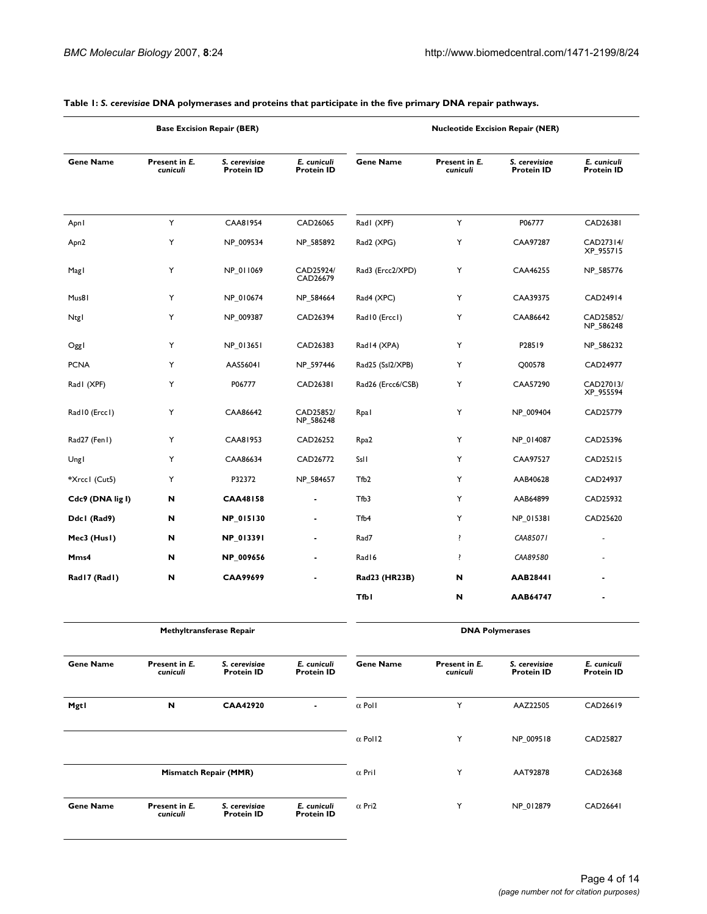|                  |                           | <b>Base Excision Repair (BER)</b>  |                                  |                   |                           | <b>Nucleotide Excision Repair (NER)</b> |                                  |
|------------------|---------------------------|------------------------------------|----------------------------------|-------------------|---------------------------|-----------------------------------------|----------------------------------|
| <b>Gene Name</b> | Present in E.<br>cuniculi | S. cerevisiae<br><b>Protein ID</b> | E. cuniculi<br><b>Protein ID</b> | <b>Gene Name</b>  | Present in E.<br>cuniculi | S. cerevisiae<br><b>Protein ID</b>      | E. cuniculi<br><b>Protein ID</b> |
| Apnl             | Y                         | CAA81954                           | CAD26065                         | Rad (XPF)         | Y                         | P06777                                  | CAD26381                         |
| Apn <sub>2</sub> | Υ                         | NP_009534                          | NP_585892                        | Rad2 (XPG)        | Υ                         | CAA97287                                | CAD27314/<br>XP_955715           |
| Magl             | Υ                         | NP_011069                          | CAD25924/<br>CAD26679            | Rad3 (Ercc2/XPD)  | Υ                         | CAA46255                                | NP_585776                        |
| Mus81            | Υ                         | NP_010674                          | NP_584664                        | Rad4 (XPC)        | Υ                         | CAA39375                                | CAD24914                         |
| Ntgl             | Y                         | NP_009387                          | CAD26394                         | Rad I 0 (Ercc I)  | Υ                         | CAA86642                                | CAD25852/<br>NP_586248           |
| Oggl             | Y                         | NP_013651                          | CAD26383                         | Rad14 (XPA)       | Υ                         | P28519                                  | NP_586232                        |
| <b>PCNA</b>      | Υ                         | AAS56041                           | NP_597446                        | Rad25 (Ssl2/XPB)  | Υ                         | Q00578                                  | CAD24977                         |
| Rad I (XPF)      | Υ                         | P06777                             | CAD26381                         | Rad26 (Ercc6/CSB) | Υ                         | CAA57290                                | CAD27013/<br>XP_955594           |
| Rad IO (Erccl)   | Υ                         | CAA86642                           | CAD25852/<br>NP_586248           | Rpal              | Υ                         | NP_009404                               | CAD25779                         |
| Rad27 (Fen1)     | Υ                         | CAA81953                           | CAD26252                         | Rpa <sub>2</sub>  | Υ                         | NP 014087                               | CAD25396                         |
| Ungl             | Υ                         | CAA86634                           | CAD26772                         | SsII              | Υ                         | CAA97527                                | CAD25215                         |
| *Xrccl (Cut5)    | Y                         | P32372                             | NP_584657                        | Tfb <sub>2</sub>  | Y                         | AAB40628                                | CAD24937                         |
| Cdc9 (DNA lig I) | N                         | <b>CAA48158</b>                    |                                  | Tfb3              | Y                         | AAB64899                                | CAD25932                         |
| Ddcl (Rad9)      | N                         | NP_015130                          | $\blacksquare$                   | Tfb4              | Υ                         | NP_015381                               | CAD25620                         |
| Mec3 (Husl)      | N                         | NP_013391                          | ٠                                | Rad7              | ļ                         | CAA85071                                |                                  |
| Mms4             | N                         | NP_009656                          | $\blacksquare$                   | Rad I6            | ļ                         | CAA89580                                |                                  |
| Rad17 (Rad1)     | N                         | CAA99699                           |                                  | Rad23 (HR23B)     | N                         | AAB28441                                |                                  |
|                  |                           |                                    |                                  | <b>Tfb1</b>       | N                         | AAB64747                                |                                  |
|                  |                           | <b>Methyltransferase Repair</b>    |                                  |                   |                           | <b>DNA Polymerases</b>                  |                                  |
| <b>Gene Name</b> | Present in E.<br>cuniculi | S. cerevisiae<br><b>Protein ID</b> | E. cuniculi<br><b>Protein ID</b> | <b>Gene Name</b>  | Present in E.<br>cuniculi | S. cerevisiae<br><b>Protein ID</b>      | E. cuniculi<br><b>Protein ID</b> |
| Mgtl             | N                         | <b>CAA42920</b>                    | $\blacksquare$                   | $\alpha$ Poll     | Y                         | AAZ22505                                | CAD26619                         |
|                  |                           |                                    |                                  | $\alpha$ Pol12    | Υ                         | NP_009518                               | CAD25827                         |
|                  |                           | Mismatch Repair (MMR)              |                                  | $\alpha$ Pri l    | Υ                         | AAT92878                                | CAD26368                         |
| <b>Gene Name</b> | Present in E.<br>cuniculi | S. cerevisiae<br><b>Protein ID</b> | E. cuniculi<br><b>Protein ID</b> | $\alpha$ Pri2     | Υ                         | NP_012879                               | <b>CAD26641</b>                  |

#### **Table 1:** *S. cerevisiae* **DNA polymerases and proteins that participate in the five primary DNA repair pathways.**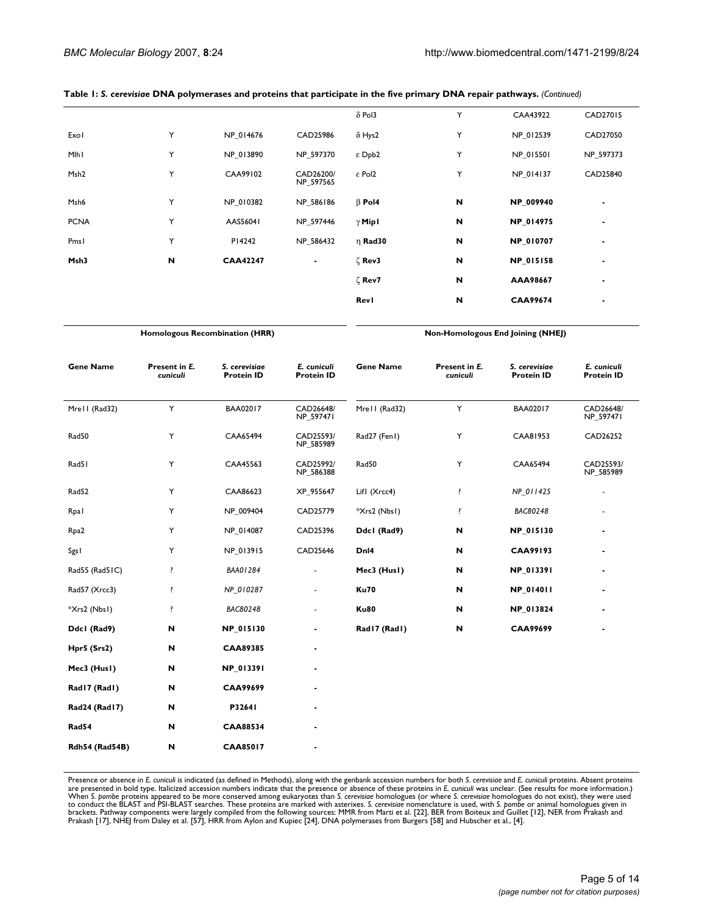| Table 1: S. cerevisiae DNA polymerases and proteins that participate in the five primary DNA repair pathways. (Continued) |  |  |  |  |  |
|---------------------------------------------------------------------------------------------------------------------------|--|--|--|--|--|
|---------------------------------------------------------------------------------------------------------------------------|--|--|--|--|--|

|                  |   |                 |                        | $\delta$ Pol3   | Y | CAA43922        | CAD27015  |
|------------------|---|-----------------|------------------------|-----------------|---|-----------------|-----------|
| Exol             | Y | NP 014676       | CAD25986               | $\delta$ Hys2   | Y | NP_012539       | CAD27050  |
| Mlhl             | Y | NP 013890       | NP_597370              | $\epsilon$ Dpb2 | Y | NP_015501       | NP_597373 |
| Msh <sub>2</sub> | Υ | CAA99102        | CAD26200/<br>NP_597565 | ε Pol2          | Y | NP 014137       | CAD25840  |
| Msh6             | Y | NP 010382       | NP_586186              | $\beta$ Pol4    | N | NP_009940       | ٠         |
| <b>PCNA</b>      | Y | AAS56041        | NP 597446              | $\gamma$ Mip I  | N | NP_014975       | ٠         |
| Pmsl             | Y | P14242          | NP_586432              | $\eta$ Rad30    | N | NP_010707       | ۰.        |
| Msh3             | N | <b>CAA42247</b> | ٠                      | ζ Rev3          | N | NP_015158       | ٠         |
|                  |   |                 |                        | ζ Rev7          | N | AAA98667        | ۰         |
|                  |   |                 |                        | <b>RevI</b>     | N | <b>CAA99674</b> |           |

**Homologous Recombination (HRR) Non-Homologous End Joining (NHEJ)**

| <b>Gene Name</b>      | Present in E.<br>cuniculi | S. cerevisiae<br><b>Protein ID</b> | E. cuniculi<br><b>Protein ID</b> | <b>Gene Name</b> | Present in E.<br>cuniculi | S. cerevisiae<br><b>Protein ID</b> | E. cuniculi<br><b>Protein ID</b> |
|-----------------------|---------------------------|------------------------------------|----------------------------------|------------------|---------------------------|------------------------------------|----------------------------------|
| Mrell (Rad32)         | Y                         | BAA02017                           | CAD26648/<br>NP_597471           | Mrell (Rad32)    | Y                         | BAA02017                           | CAD26648/<br>NP_597471           |
| Rad50                 | Y                         | CAA65494                           | CAD25593/<br>NP_585989           | Rad27 (Fen1)     | Υ                         | CAA81953                           | CAD26252                         |
| Rad51                 | Υ                         | CAA45563                           | CAD25992/<br>NP_586388           | Rad50            | Y                         | CAA65494                           | CAD25593/<br>NP_585989           |
| Rad52                 | Υ                         | CAA86623                           | XP_955647                        | Lifl (Xrcc4)     | ŗ                         | NP_011425                          | ٠                                |
| Rpal                  | Υ                         | NP_009404                          | CAD25779                         | *Xrs2 (Nbs1)     | ŗ                         | BAC80248                           |                                  |
| Rpa <sub>2</sub>      | Y                         | NP_014087                          | CAD25396                         | Ddcl (Rad9)      | N                         | NP_015130                          | ٠                                |
| Sgs I                 | Y                         | NP_013915                          | CAD25646                         | DnI4             | N                         | <b>CAA99193</b>                    | ٠                                |
| Rad55 (Rad51C)        | ŗ                         | BAA01284                           |                                  | Mec3 (Husl)      | N                         | NP_013391                          | ٠                                |
| Rad57 (Xrcc3)         | ŗ                         | NP_010287                          | ٠                                | <b>Ku70</b>      | N                         | NP_014011                          | ٠                                |
| *Xrs2 (Nbs1)          | ŗ                         | BAC80248                           | $\sim$                           | <b>Ku80</b>      | N                         | NP_013824                          |                                  |
| Ddcl (Rad9)           | N                         | NP_015130                          |                                  | Rad I 7 (Rad I)  | $\boldsymbol{\mathsf{N}}$ | <b>CAA99699</b>                    |                                  |
| Hpr5 (Srs2)           | N                         | <b>CAA89385</b>                    | ٠                                |                  |                           |                                    |                                  |
| Mec3 (Husl)           | N                         | NP_013391                          |                                  |                  |                           |                                    |                                  |
| Rad I 7 (Rad I)       | N                         | <b>CAA99699</b>                    |                                  |                  |                           |                                    |                                  |
| Rad24 (Rad17)         | N                         | P32641                             |                                  |                  |                           |                                    |                                  |
| Rad54                 | N                         | <b>CAA88534</b>                    |                                  |                  |                           |                                    |                                  |
| <b>Rdh54 (Rad54B)</b> | N                         | CAA85017                           |                                  |                  |                           |                                    |                                  |

Presence or absence in *E. cuniculi* is indicated (as defined in Methods), along with the genbank accession numbers for both S. cereviside and *E. cuniculi* proteins. Absent proteins are presented in bold type. Italicized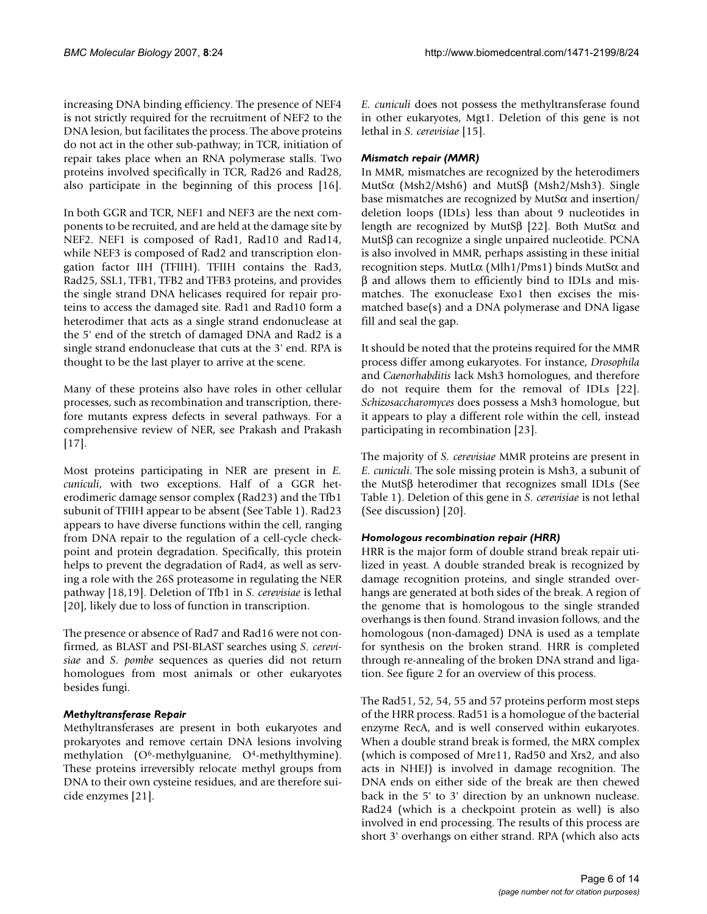increasing DNA binding efficiency. The presence of NEF4 is not strictly required for the recruitment of NEF2 to the DNA lesion, but facilitates the process. The above proteins do not act in the other sub-pathway; in TCR, initiation of repair takes place when an RNA polymerase stalls. Two proteins involved specifically in TCR, Rad26 and Rad28, also participate in the beginning of this process [16].

In both GGR and TCR, NEF1 and NEF3 are the next components to be recruited, and are held at the damage site by NEF2. NEF1 is composed of Rad1, Rad10 and Rad14, while NEF3 is composed of Rad2 and transcription elongation factor IIH (TFIIH). TFIIH contains the Rad3, Rad25, SSL1, TFB1, TFB2 and TFB3 proteins, and provides the single strand DNA helicases required for repair proteins to access the damaged site. Rad1 and Rad10 form a heterodimer that acts as a single strand endonuclease at the 5' end of the stretch of damaged DNA and Rad2 is a single strand endonuclease that cuts at the 3' end. RPA is thought to be the last player to arrive at the scene.

Many of these proteins also have roles in other cellular processes, such as recombination and transcription, therefore mutants express defects in several pathways. For a comprehensive review of NER, see Prakash and Prakash [17].

Most proteins participating in NER are present in *E. cuniculi*, with two exceptions. Half of a GGR heterodimeric damage sensor complex (Rad23) and the Tfb1 subunit of TFIIH appear to be absent (See Table 1). Rad23 appears to have diverse functions within the cell, ranging from DNA repair to the regulation of a cell-cycle checkpoint and protein degradation. Specifically, this protein helps to prevent the degradation of Rad4, as well as serving a role with the 26S proteasome in regulating the NER pathway [18,19]. Deletion of Tfb1 in *S. cerevisiae* is lethal [20], likely due to loss of function in transcription.

The presence or absence of Rad7 and Rad16 were not confirmed, as BLAST and PSI-BLAST searches using *S. cerevisiae* and *S. pombe* sequences as queries did not return homologues from most animals or other eukaryotes besides fungi.

# *Methyltransferase Repair*

Methyltransferases are present in both eukaryotes and prokaryotes and remove certain DNA lesions involving methylation (O<sup>6</sup>-methylguanine, O<sup>4</sup>-methylthymine). These proteins irreversibly relocate methyl groups from DNA to their own cysteine residues, and are therefore suicide enzymes [21].

*E. cuniculi* does not possess the methyltransferase found in other eukaryotes, Mgt1. Deletion of this gene is not lethal in *S. cerevisiae* [15].

### *Mismatch repair (MMR)*

In MMR, mismatches are recognized by the heterodimers MutSα (Msh2/Msh6) and MutSβ (Msh2/Msh3). Single base mismatches are recognized by MutSα and insertion/ deletion loops (IDLs) less than about 9 nucleotides in length are recognized by MutSβ [22]. Both MutSα and MutSβ can recognize a single unpaired nucleotide. PCNA is also involved in MMR, perhaps assisting in these initial recognition steps. MutLα (Mlh1/Pms1) binds MutSα and β and allows them to efficiently bind to IDLs and mismatches. The exonuclease Exo1 then excises the mismatched base(s) and a DNA polymerase and DNA ligase fill and seal the gap.

It should be noted that the proteins required for the MMR process differ among eukaryotes. For instance, *Drosophila* and *Caenorhabditis* lack Msh3 homologues, and therefore do not require them for the removal of IDLs [22]. *Schizosaccharomyces* does possess a Msh3 homologue, but it appears to play a different role within the cell, instead participating in recombination [23].

The majority of *S. cerevisiae* MMR proteins are present in *E. cuniculi*. The sole missing protein is Msh3, a subunit of the MutSβ heterodimer that recognizes small IDLs (See Table 1). Deletion of this gene in *S. cerevisiae* is not lethal (See discussion) [20].

#### *Homologous recombination repair (HRR)*

HRR is the major form of double strand break repair utilized in yeast. A double stranded break is recognized by damage recognition proteins, and single stranded overhangs are generated at both sides of the break. A region of the genome that is homologous to the single stranded overhangs is then found. Strand invasion follows, and the homologous (non-damaged) DNA is used as a template for synthesis on the broken strand. HRR is completed through re-annealing of the broken DNA strand and ligation. See figure 2 for an overview of this process.

The Rad51, 52, 54, 55 and 57 proteins perform most steps of the HRR process. Rad51 is a homologue of the bacterial enzyme RecA, and is well conserved within eukaryotes. When a double strand break is formed, the MRX complex (which is composed of Mre11, Rad50 and Xrs2, and also acts in NHEJ) is involved in damage recognition. The DNA ends on either side of the break are then chewed back in the 5' to 3' direction by an unknown nuclease. Rad24 (which is a checkpoint protein as well) is also involved in end processing. The results of this process are short 3' overhangs on either strand. RPA (which also acts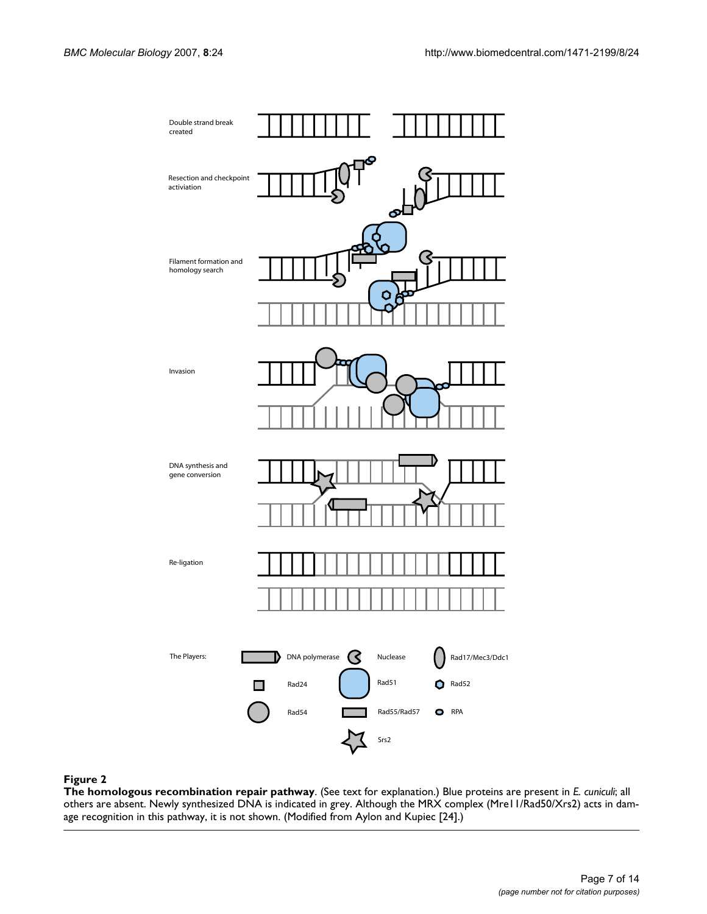

#### Figure 2

**The homologous recombination repair pathway**. (See text for explanation.) Blue proteins are present in *E. cuniculi*; all others are absent. Newly synthesized DNA is indicated in grey. Although the MRX complex (Mre11/Rad50/Xrs2) acts in damage recognition in this pathway, it is not shown. (Modified from Aylon and Kupiec [24].)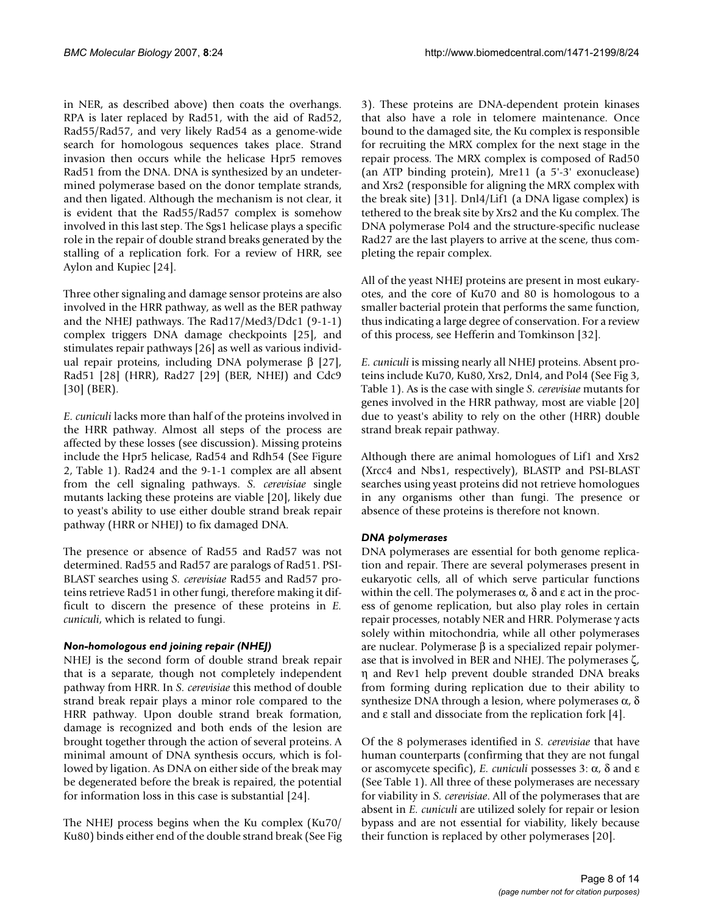in NER, as described above) then coats the overhangs. RPA is later replaced by Rad51, with the aid of Rad52, Rad55/Rad57, and very likely Rad54 as a genome-wide search for homologous sequences takes place. Strand invasion then occurs while the helicase Hpr5 removes Rad51 from the DNA. DNA is synthesized by an undetermined polymerase based on the donor template strands, and then ligated. Although the mechanism is not clear, it is evident that the Rad55/Rad57 complex is somehow involved in this last step. The Sgs1 helicase plays a specific role in the repair of double strand breaks generated by the stalling of a replication fork. For a review of HRR, see Aylon and Kupiec [24].

Three other signaling and damage sensor proteins are also involved in the HRR pathway, as well as the BER pathway and the NHEJ pathways. The Rad17/Med3/Ddc1 (9-1-1) complex triggers DNA damage checkpoints [25], and stimulates repair pathways [26] as well as various individual repair proteins, including DNA polymerase β [27], Rad51 [28] (HRR), Rad27 [29] (BER, NHEJ) and Cdc9 [30] (BER).

*E. cuniculi* lacks more than half of the proteins involved in the HRR pathway. Almost all steps of the process are affected by these losses (see discussion). Missing proteins include the Hpr5 helicase, Rad54 and Rdh54 (See Figure 2, Table 1). Rad24 and the 9-1-1 complex are all absent from the cell signaling pathways. *S. cerevisiae* single mutants lacking these proteins are viable [20], likely due to yeast's ability to use either double strand break repair pathway (HRR or NHEJ) to fix damaged DNA.

The presence or absence of Rad55 and Rad57 was not determined. Rad55 and Rad57 are paralogs of Rad51. PSI-BLAST searches using *S. cerevisiae* Rad55 and Rad57 proteins retrieve Rad51 in other fungi, therefore making it difficult to discern the presence of these proteins in *E. cuniculi*, which is related to fungi.

#### *Non-homologous end joining repair (NHEJ)*

NHEJ is the second form of double strand break repair that is a separate, though not completely independent pathway from HRR. In *S. cerevisiae* this method of double strand break repair plays a minor role compared to the HRR pathway. Upon double strand break formation, damage is recognized and both ends of the lesion are brought together through the action of several proteins. A minimal amount of DNA synthesis occurs, which is followed by ligation. As DNA on either side of the break may be degenerated before the break is repaired, the potential for information loss in this case is substantial [24].

The NHEJ process begins when the Ku complex (Ku70/ Ku80) binds either end of the double strand break (See Fig 3). These proteins are DNA-dependent protein kinases that also have a role in telomere maintenance. Once bound to the damaged site, the Ku complex is responsible for recruiting the MRX complex for the next stage in the repair process. The MRX complex is composed of Rad50 (an ATP binding protein), Mre11 (a 5'-3' exonuclease) and Xrs2 (responsible for aligning the MRX complex with the break site) [31]. Dnl4/Lif1 (a DNA ligase complex) is tethered to the break site by Xrs2 and the Ku complex. The DNA polymerase Pol4 and the structure-specific nuclease Rad27 are the last players to arrive at the scene, thus completing the repair complex.

All of the yeast NHEJ proteins are present in most eukaryotes, and the core of Ku70 and 80 is homologous to a smaller bacterial protein that performs the same function, thus indicating a large degree of conservation. For a review of this process, see Hefferin and Tomkinson [32].

*E. cuniculi* is missing nearly all NHEJ proteins. Absent proteins include Ku70, Ku80, Xrs2, Dnl4, and Pol4 (See Fig 3, Table 1). As is the case with single *S. cerevisiae* mutants for genes involved in the HRR pathway, most are viable [20] due to yeast's ability to rely on the other (HRR) double strand break repair pathway.

Although there are animal homologues of Lif1 and Xrs2 (Xrcc4 and Nbs1, respectively), BLASTP and PSI-BLAST searches using yeast proteins did not retrieve homologues in any organisms other than fungi. The presence or absence of these proteins is therefore not known.

#### *DNA polymerases*

DNA polymerases are essential for both genome replication and repair. There are several polymerases present in eukaryotic cells, all of which serve particular functions within the cell. The polymerases  $\alpha$ ,  $\delta$  and  $\varepsilon$  act in the process of genome replication, but also play roles in certain repair processes, notably NER and HRR. Polymerase γ acts solely within mitochondria, while all other polymerases are nuclear. Polymerase β is a specialized repair polymerase that is involved in BER and NHEJ. The polymerases ζ, η and Rev1 help prevent double stranded DNA breaks from forming during replication due to their ability to synthesize DNA through a lesion, where polymerases  $α$ ,  $δ$ and ε stall and dissociate from the replication fork [4].

Of the 8 polymerases identified in *S. cerevisiae* that have human counterparts (confirming that they are not fungal or ascomycete specific), *E. cuniculi* possesses 3: α, δ and ε (See Table 1). All three of these polymerases are necessary for viability in *S. cerevisiae*. All of the polymerases that are absent in *E. cuniculi* are utilized solely for repair or lesion bypass and are not essential for viability, likely because their function is replaced by other polymerases [20].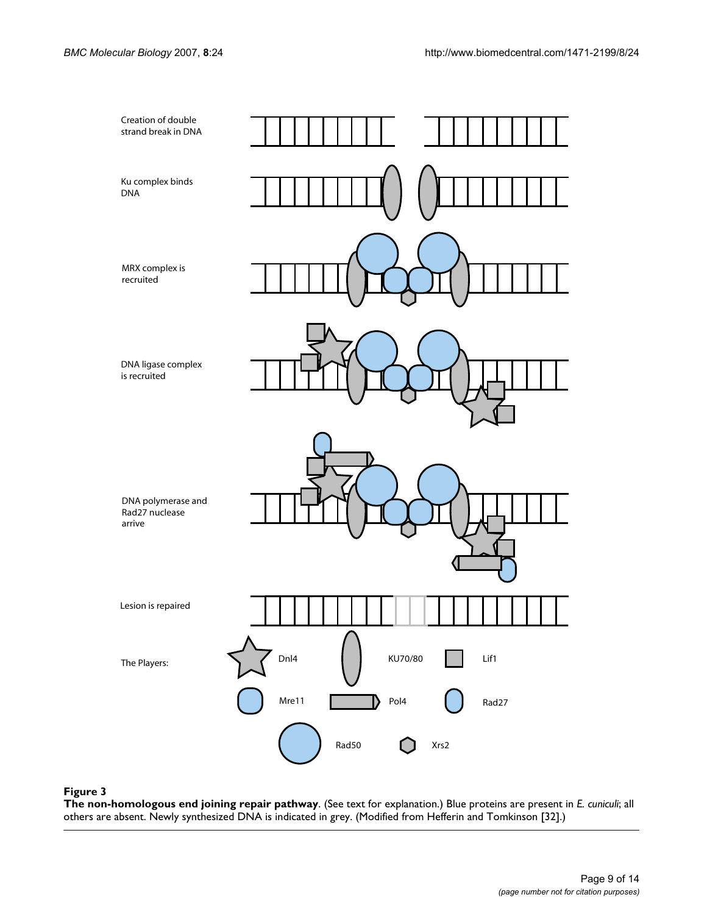

#### Figure 3

**The non-homologous end joining repair pathway**. (See text for explanation.) Blue proteins are present in *E. cuniculi*; all others are absent. Newly synthesized DNA is indicated in grey. (Modified from Hefferin and Tomkinson [32].)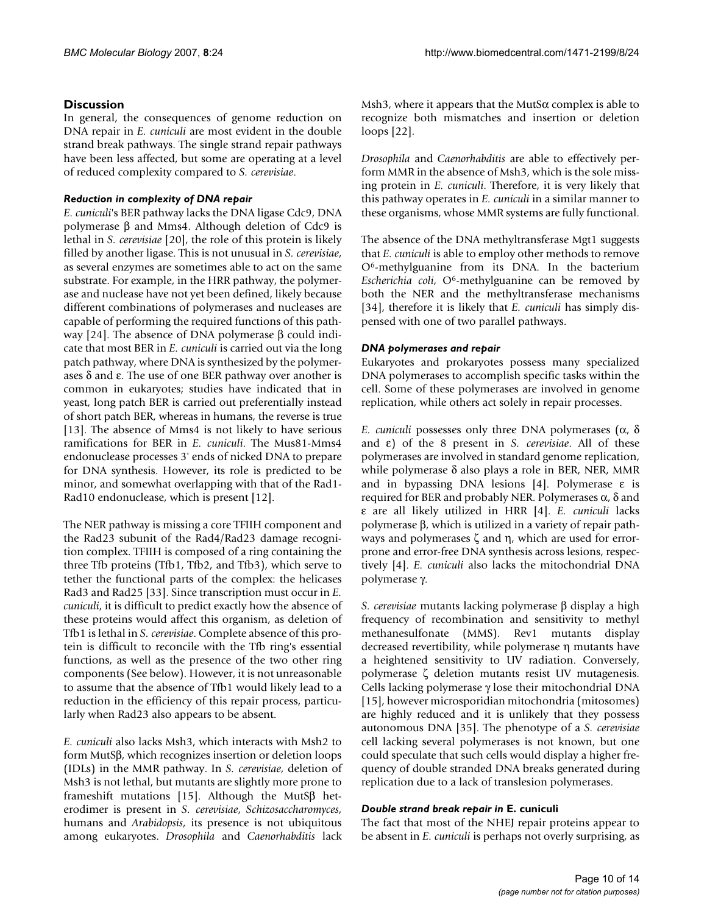# **Discussion**

In general, the consequences of genome reduction on DNA repair in *E. cuniculi* are most evident in the double strand break pathways. The single strand repair pathways have been less affected, but some are operating at a level of reduced complexity compared to *S. cerevisiae*.

## *Reduction in complexity of DNA repair*

*E. cuniculi*'s BER pathway lacks the DNA ligase Cdc9, DNA polymerase β and Mms4. Although deletion of Cdc9 is lethal in *S. cerevisiae* [20], the role of this protein is likely filled by another ligase. This is not unusual in *S. cerevisiae*, as several enzymes are sometimes able to act on the same substrate. For example, in the HRR pathway, the polymerase and nuclease have not yet been defined, likely because different combinations of polymerases and nucleases are capable of performing the required functions of this pathway [24]. The absence of DNA polymerase β could indicate that most BER in *E. cuniculi* is carried out via the long patch pathway, where DNA is synthesized by the polymerases  $\delta$  and ε. The use of one BER pathway over another is common in eukaryotes; studies have indicated that in yeast, long patch BER is carried out preferentially instead of short patch BER, whereas in humans, the reverse is true [13]. The absence of Mms4 is not likely to have serious ramifications for BER in *E. cuniculi*. The Mus81-Mms4 endonuclease processes 3' ends of nicked DNA to prepare for DNA synthesis. However, its role is predicted to be minor, and somewhat overlapping with that of the Rad1- Rad10 endonuclease, which is present [12].

The NER pathway is missing a core TFIIH component and the Rad23 subunit of the Rad4/Rad23 damage recognition complex. TFIIH is composed of a ring containing the three Tfb proteins (Tfb1, Tfb2, and Tfb3), which serve to tether the functional parts of the complex: the helicases Rad3 and Rad25 [33]. Since transcription must occur in *E. cuniculi*, it is difficult to predict exactly how the absence of these proteins would affect this organism, as deletion of Tfb1 is lethal in *S. cerevisiae*. Complete absence of this protein is difficult to reconcile with the Tfb ring's essential functions, as well as the presence of the two other ring components (See below). However, it is not unreasonable to assume that the absence of Tfb1 would likely lead to a reduction in the efficiency of this repair process, particularly when Rad23 also appears to be absent.

*E. cuniculi* also lacks Msh3, which interacts with Msh2 to form MutSβ, which recognizes insertion or deletion loops (IDLs) in the MMR pathway. In *S. cerevisiae*, deletion of Msh3 is not lethal, but mutants are slightly more prone to frameshift mutations [15]. Although the MutSβ heterodimer is present in *S. cerevisiae*, *Schizosaccharomyces*, humans and *Arabidopsis*, its presence is not ubiquitous among eukaryotes. *Drosophila* and *Caenorhabditis* lack

Msh3, where it appears that the MutS $\alpha$  complex is able to recognize both mismatches and insertion or deletion loops [22].

*Drosophila* and *Caenorhabditis* are able to effectively perform MMR in the absence of Msh3, which is the sole missing protein in *E. cuniculi*. Therefore, it is very likely that this pathway operates in *E. cuniculi* in a similar manner to these organisms, whose MMR systems are fully functional.

The absence of the DNA methyltransferase Mgt1 suggests that *E. cuniculi* is able to employ other methods to remove O6-methylguanine from its DNA. In the bacterium *Escherichia coli*, O6-methylguanine can be removed by both the NER and the methyltransferase mechanisms [34], therefore it is likely that *E. cuniculi* has simply dispensed with one of two parallel pathways.

# *DNA polymerases and repair*

Eukaryotes and prokaryotes possess many specialized DNA polymerases to accomplish specific tasks within the cell. Some of these polymerases are involved in genome replication, while others act solely in repair processes.

*E. cuniculi* possesses only three DNA polymerases (α, δ and ε) of the 8 present in *S. cerevisiae*. All of these polymerases are involved in standard genome replication, while polymerase δ also plays a role in BER, NER, MMR and in bypassing DNA lesions [4]. Polymerase ε is required for BER and probably NER. Polymerases α, δ and ε are all likely utilized in HRR [4]. *E. cuniculi* lacks polymerase β, which is utilized in a variety of repair pathways and polymerases ζ and η, which are used for errorprone and error-free DNA synthesis across lesions, respectively [4]. *E. cuniculi* also lacks the mitochondrial DNA polymerase γ.

*S. cerevisiae* mutants lacking polymerase β display a high frequency of recombination and sensitivity to methyl methanesulfonate (MMS). Rev1 mutants display decreased revertibility, while polymerase η mutants have a heightened sensitivity to UV radiation. Conversely, polymerase ζ deletion mutants resist UV mutagenesis. Cells lacking polymerase γ lose their mitochondrial DNA [15], however microsporidian mitochondria (mitosomes) are highly reduced and it is unlikely that they possess autonomous DNA [35]. The phenotype of a *S. cerevisiae* cell lacking several polymerases is not known, but one could speculate that such cells would display a higher frequency of double stranded DNA breaks generated during replication due to a lack of translesion polymerases.

# *Double strand break repair in* **E. cuniculi**

The fact that most of the NHEJ repair proteins appear to be absent in *E. cuniculi* is perhaps not overly surprising, as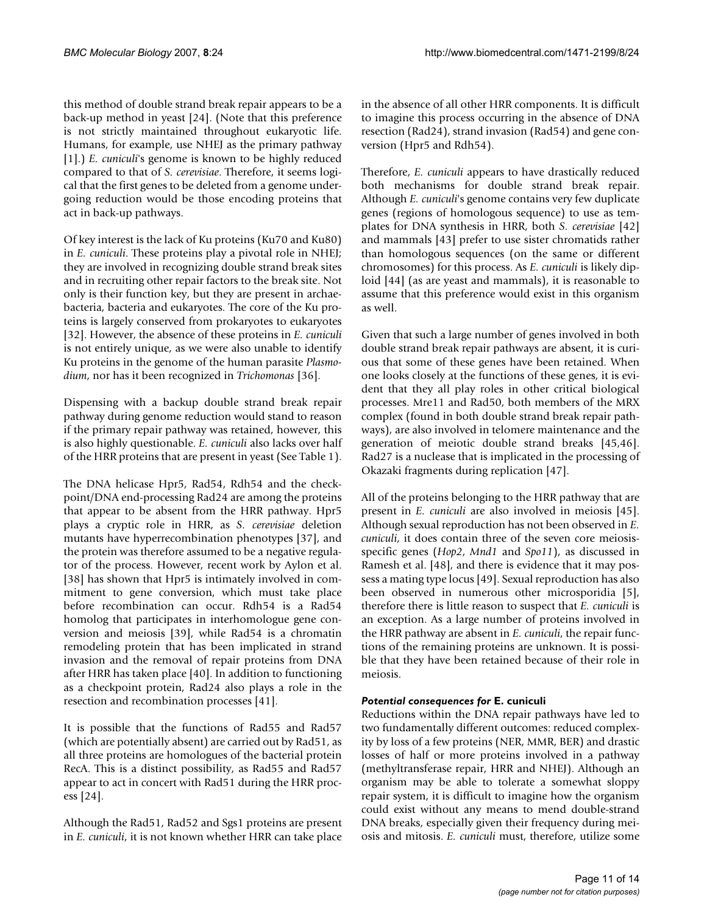this method of double strand break repair appears to be a back-up method in yeast [24]. (Note that this preference is not strictly maintained throughout eukaryotic life. Humans, for example, use NHEJ as the primary pathway [1].) *E. cuniculi*'s genome is known to be highly reduced compared to that of *S. cerevisiae*. Therefore, it seems logical that the first genes to be deleted from a genome undergoing reduction would be those encoding proteins that act in back-up pathways.

Of key interest is the lack of Ku proteins (Ku70 and Ku80) in *E. cuniculi*. These proteins play a pivotal role in NHEJ; they are involved in recognizing double strand break sites and in recruiting other repair factors to the break site. Not only is their function key, but they are present in archaebacteria, bacteria and eukaryotes. The core of the Ku proteins is largely conserved from prokaryotes to eukaryotes [32]. However, the absence of these proteins in *E. cuniculi* is not entirely unique, as we were also unable to identify Ku proteins in the genome of the human parasite *Plasmodium*, nor has it been recognized in *Trichomonas* [36].

Dispensing with a backup double strand break repair pathway during genome reduction would stand to reason if the primary repair pathway was retained, however, this is also highly questionable. *E. cuniculi* also lacks over half of the HRR proteins that are present in yeast (See Table 1).

The DNA helicase Hpr5, Rad54, Rdh54 and the checkpoint/DNA end-processing Rad24 are among the proteins that appear to be absent from the HRR pathway. Hpr5 plays a cryptic role in HRR, as *S. cerevisiae* deletion mutants have hyperrecombination phenotypes [37], and the protein was therefore assumed to be a negative regulator of the process. However, recent work by Aylon et al. [38] has shown that Hpr5 is intimately involved in commitment to gene conversion, which must take place before recombination can occur. Rdh54 is a Rad54 homolog that participates in interhomologue gene conversion and meiosis [39], while Rad54 is a chromatin remodeling protein that has been implicated in strand invasion and the removal of repair proteins from DNA after HRR has taken place [40]. In addition to functioning as a checkpoint protein, Rad24 also plays a role in the resection and recombination processes [41].

It is possible that the functions of Rad55 and Rad57 (which are potentially absent) are carried out by Rad51, as all three proteins are homologues of the bacterial protein RecA. This is a distinct possibility, as Rad55 and Rad57 appear to act in concert with Rad51 during the HRR process [24].

Although the Rad51, Rad52 and Sgs1 proteins are present in *E. cuniculi*, it is not known whether HRR can take place

in the absence of all other HRR components. It is difficult to imagine this process occurring in the absence of DNA resection (Rad24), strand invasion (Rad54) and gene conversion (Hpr5 and Rdh54).

Therefore, *E. cuniculi* appears to have drastically reduced both mechanisms for double strand break repair. Although *E. cuniculi*'s genome contains very few duplicate genes (regions of homologous sequence) to use as templates for DNA synthesis in HRR, both *S. cerevisiae* [42] and mammals [43] prefer to use sister chromatids rather than homologous sequences (on the same or different chromosomes) for this process. As *E. cuniculi* is likely diploid [44] (as are yeast and mammals), it is reasonable to assume that this preference would exist in this organism as well.

Given that such a large number of genes involved in both double strand break repair pathways are absent, it is curious that some of these genes have been retained. When one looks closely at the functions of these genes, it is evident that they all play roles in other critical biological processes. Mre11 and Rad50, both members of the MRX complex (found in both double strand break repair pathways), are also involved in telomere maintenance and the generation of meiotic double strand breaks [45,46]. Rad27 is a nuclease that is implicated in the processing of Okazaki fragments during replication [47].

All of the proteins belonging to the HRR pathway that are present in *E. cuniculi* are also involved in meiosis [45]. Although sexual reproduction has not been observed in *E. cuniculi*, it does contain three of the seven core meiosisspecific genes (*Hop2*, *Mnd1* and *Spo11*), as discussed in Ramesh et al. [[48\]](#page-13-0), and there is evidence that it may possess a mating type locus [\[49](#page-13-1)]. Sexual reproduction has also been observed in numerous other microsporidia [5], therefore there is little reason to suspect that *E. cuniculi* is an exception. As a large number of proteins involved in the HRR pathway are absent in *E. cuniculi*, the repair functions of the remaining proteins are unknown. It is possible that they have been retained because of their role in meiosis.

# *Potential consequences for* **E. cuniculi**

Reductions within the DNA repair pathways have led to two fundamentally different outcomes: reduced complexity by loss of a few proteins (NER, MMR, BER) and drastic losses of half or more proteins involved in a pathway (methyltransferase repair, HRR and NHEJ). Although an organism may be able to tolerate a somewhat sloppy repair system, it is difficult to imagine how the organism could exist without any means to mend double-strand DNA breaks, especially given their frequency during meiosis and mitosis. *E. cuniculi* must, therefore, utilize some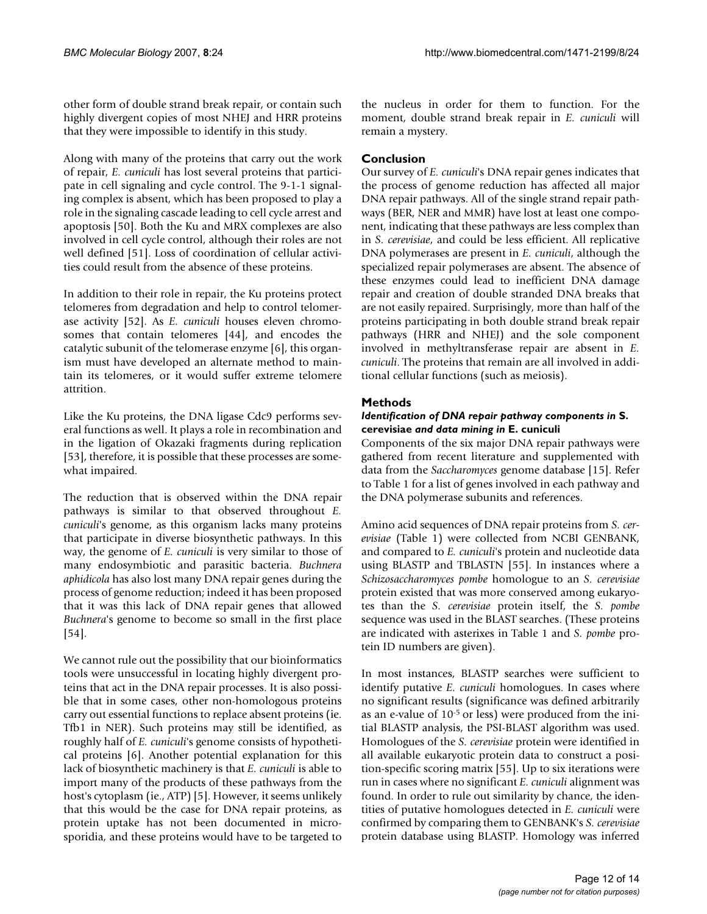other form of double strand break repair, or contain such highly divergent copies of most NHEJ and HRR proteins that they were impossible to identify in this study.

Along with many of the proteins that carry out the work of repair, *E. cuniculi* has lost several proteins that participate in cell signaling and cycle control. The 9-1-1 signaling complex is absent, which has been proposed to play a role in the signaling cascade leading to cell cycle arrest and apoptosis [50]. Both the Ku and MRX complexes are also involved in cell cycle control, although their roles are not well defined [51]. Loss of coordination of cellular activities could result from the absence of these proteins.

In addition to their role in repair, the Ku proteins protect telomeres from degradation and help to control telomerase activity [52]. As *E. cuniculi* houses eleven chromosomes that contain telomeres [44], and encodes the catalytic subunit of the telomerase enzyme [6], this organism must have developed an alternate method to maintain its telomeres, or it would suffer extreme telomere attrition.

Like the Ku proteins, the DNA ligase Cdc9 performs several functions as well. It plays a role in recombination and in the ligation of Okazaki fragments during replication [53], therefore, it is possible that these processes are somewhat impaired.

The reduction that is observed within the DNA repair pathways is similar to that observed throughout *E. cuniculi*'s genome, as this organism lacks many proteins that participate in diverse biosynthetic pathways. In this way, the genome of *E. cuniculi* is very similar to those of many endosymbiotic and parasitic bacteria. *Buchnera aphidicola* has also lost many DNA repair genes during the process of genome reduction; indeed it has been proposed that it was this lack of DNA repair genes that allowed *Buchnera*'s genome to become so small in the first place [54].

We cannot rule out the possibility that our bioinformatics tools were unsuccessful in locating highly divergent proteins that act in the DNA repair processes. It is also possible that in some cases, other non-homologous proteins carry out essential functions to replace absent proteins (ie. Tfb1 in NER). Such proteins may still be identified, as roughly half of *E. cuniculi*'s genome consists of hypothetical proteins [6]. Another potential explanation for this lack of biosynthetic machinery is that *E. cuniculi* is able to import many of the products of these pathways from the host's cytoplasm (ie., ATP) [5]. However, it seems unlikely that this would be the case for DNA repair proteins, as protein uptake has not been documented in microsporidia, and these proteins would have to be targeted to

the nucleus in order for them to function. For the moment, double strand break repair in *E. cuniculi* will remain a mystery.

# **Conclusion**

Our survey of *E. cuniculi*'s DNA repair genes indicates that the process of genome reduction has affected all major DNA repair pathways. All of the single strand repair pathways (BER, NER and MMR) have lost at least one component, indicating that these pathways are less complex than in *S. cerevisiae*, and could be less efficient. All replicative DNA polymerases are present in *E. cuniculi*, although the specialized repair polymerases are absent. The absence of these enzymes could lead to inefficient DNA damage repair and creation of double stranded DNA breaks that are not easily repaired. Surprisingly, more than half of the proteins participating in both double strand break repair pathways (HRR and NHEJ) and the sole component involved in methyltransferase repair are absent in *E. cuniculi*. The proteins that remain are all involved in additional cellular functions (such as meiosis).

# **Methods**

### *Identification of DNA repair pathway components in* **S. cerevisiae** *and data mining in* **E. cuniculi**

Components of the six major DNA repair pathways were gathered from recent literature and supplemented with data from the *Saccharomyces* genome database [15]. Refer to Table 1 for a list of genes involved in each pathway and the DNA polymerase subunits and references.

Amino acid sequences of DNA repair proteins from *S. cerevisiae* (Table 1) were collected from NCBI GENBANK, and compared to *E. cuniculi*'s protein and nucleotide data using BLASTP and TBLASTN [55]. In instances where a *Schizosaccharomyces pombe* homologue to an *S. cerevisiae* protein existed that was more conserved among eukaryotes than the *S. cerevisiae* protein itself, the *S. pombe* sequence was used in the BLAST searches. (These proteins are indicated with asterixes in Table 1 and *S. pombe* protein ID numbers are given).

In most instances, BLASTP searches were sufficient to identify putative *E. cuniculi* homologues. In cases where no significant results (significance was defined arbitrarily as an e-value of 10-5 or less) were produced from the initial BLASTP analysis, the PSI-BLAST algorithm was used. Homologues of the *S. cerevisiae* protein were identified in all available eukaryotic protein data to construct a position-specific scoring matrix [55]. Up to six iterations were run in cases where no significant *E. cuniculi* alignment was found. In order to rule out similarity by chance, the identities of putative homologues detected in *E. cuniculi* were confirmed by comparing them to GENBANK's *S. cerevisiae* protein database using BLASTP. Homology was inferred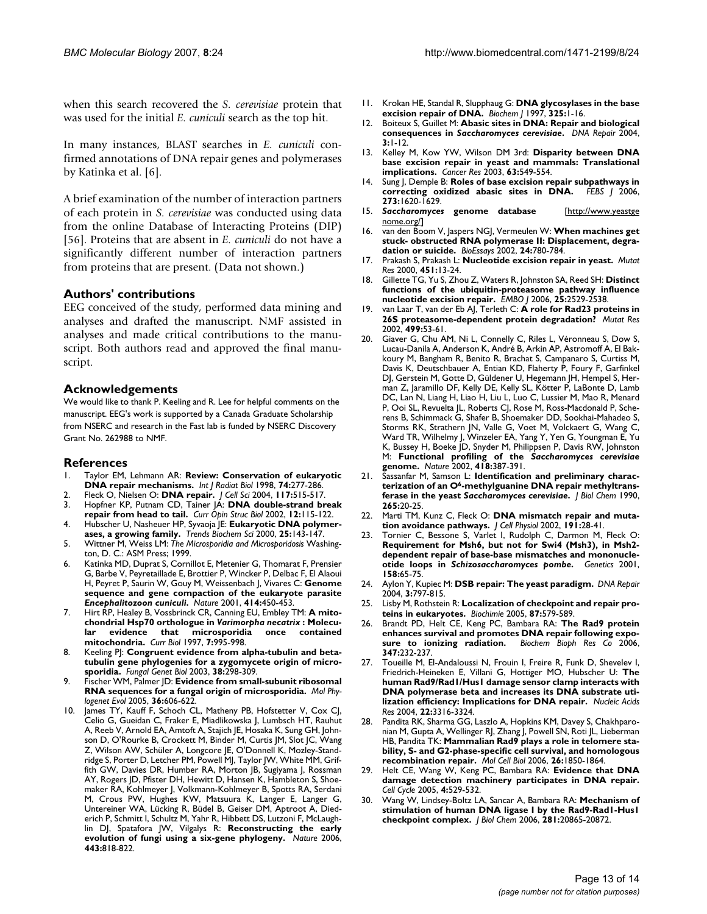when this search recovered the *S. cerevisiae* protein that was used for the initial *E. cuniculi* search as the top hit.

In many instances, BLAST searches in *E. cuniculi* confirmed annotations of DNA repair genes and polymerases by Katinka et al. [6].

A brief examination of the number of interaction partners of each protein in *S. cerevisiae* was conducted using data from the online Database of Interacting Proteins (DIP) [56]. Proteins that are absent in *E. cuniculi* do not have a significantly different number of interaction partners from proteins that are present. (Data not shown.)

### **Authors' contributions**

EEG conceived of the study, performed data mining and analyses and drafted the manuscript. NMF assisted in analyses and made critical contributions to the manuscript. Both authors read and approved the final manuscript.

### **Acknowledgements**

We would like to thank P. Keeling and R. Lee for helpful comments on the manuscript. EEG's work is supported by a Canada Graduate Scholarship from NSERC and research in the Fast lab is funded by NSERC Discovery Grant No. 262988 to NMF.

#### **References**

- 1. Taylor EM, Lehmann AR: **[Review: Conservation of eukaryotic](http://www.ncbi.nlm.nih.gov/entrez/query.fcgi?cmd=Retrieve&db=PubMed&dopt=Abstract&list_uids=9737531) [DNA repair mechanisms.](http://www.ncbi.nlm.nih.gov/entrez/query.fcgi?cmd=Retrieve&db=PubMed&dopt=Abstract&list_uids=9737531)** *Int J Radiat Biol* 1998, **74:**277-286.
- 2. Fleck O, Nielsen O: **[DNA repair.](http://www.ncbi.nlm.nih.gov/entrez/query.fcgi?cmd=Retrieve&db=PubMed&dopt=Abstract&list_uids=14730007)** *J Cell Sci* 2004, **117:**515-517.
- 3. Hopfner KP, Putnam CD, Tainer JA: **DNA double-strand break repair from head to tail.** *Curr Opin Struc Biol* 2002, **12:**115-122.
- 4. Hubscher U, Nasheuer HP, Syvaoja JE: **[Eukaryotic DNA polymer](http://www.ncbi.nlm.nih.gov/entrez/query.fcgi?cmd=Retrieve&db=PubMed&dopt=Abstract&list_uids=10694886)[ases, a growing family.](http://www.ncbi.nlm.nih.gov/entrez/query.fcgi?cmd=Retrieve&db=PubMed&dopt=Abstract&list_uids=10694886)** *Trends Biochem Sci* 2000, **25:**143-147.
- 5. Wittner M, Weiss LM: *The Microsporidia and Microsporidosis* Washington, D. C.: ASM Press; 1999.
- 6. Katinka MD, Duprat S, Cornillot E, Metenier G, Thomarat F, Prensier G, Barbe V, Peyretaillade E, Brottier P, Wincker P, Delbac F, El Alaoui H, Peyret P, Saurin W, Gouy M, Weissenbach J, Vivares C: **Genome sequence and gene compaction of the eukaryote parasite** *Encephalitozoon cuniculi***[.](http://www.ncbi.nlm.nih.gov/entrez/query.fcgi?cmd=Retrieve&db=PubMed&dopt=Abstract&list_uids=11719806)** *Nature* 2001, **414:**450-453.
- 7. Hirt RP, Healey B, Vossbrinck CR, Canning EU, Embley TM: **A mitochondrial Hsp70 orthologue in** *Varimorpha necatrix* **[: Molecu](http://www.ncbi.nlm.nih.gov/entrez/query.fcgi?cmd=Retrieve&db=PubMed&dopt=Abstract&list_uids=9382838)[lar evidence that microsporidia once contained](http://www.ncbi.nlm.nih.gov/entrez/query.fcgi?cmd=Retrieve&db=PubMed&dopt=Abstract&list_uids=9382838) [mitochondria.](http://www.ncbi.nlm.nih.gov/entrez/query.fcgi?cmd=Retrieve&db=PubMed&dopt=Abstract&list_uids=9382838)** *Curr Biol* 1997, **7:**995-998.
- 8. Keeling P|: [Congruent evidence from alpha-tubulin and beta](http://www.ncbi.nlm.nih.gov/entrez/query.fcgi?cmd=Retrieve&db=PubMed&dopt=Abstract&list_uids=12684019)**[tubulin gene phylogenies for a zygomycete origin of micro](http://www.ncbi.nlm.nih.gov/entrez/query.fcgi?cmd=Retrieve&db=PubMed&dopt=Abstract&list_uids=12684019)[sporidia.](http://www.ncbi.nlm.nih.gov/entrez/query.fcgi?cmd=Retrieve&db=PubMed&dopt=Abstract&list_uids=12684019)** *Fungal Genet Biol* 2003, **38:**298-309.
- 9. Fischer WM, Palmer JD: **[Evidence from small-subunit ribosomal](http://www.ncbi.nlm.nih.gov/entrez/query.fcgi?cmd=Retrieve&db=PubMed&dopt=Abstract&list_uids=15923129) [RNA sequences for a fungal origin of microsporidia.](http://www.ncbi.nlm.nih.gov/entrez/query.fcgi?cmd=Retrieve&db=PubMed&dopt=Abstract&list_uids=15923129)** *Mol Phylogenet Evol* 2005, **36:**606-622.
- 10. James TY, Kauff F, Schoch CL, Matheny PB, Hofstetter V, Cox CJ, Celio G, Gueidan C, Fraker E, Miadlikowska J, Lumbsch HT, Rauhut A, Reeb V, Arnold EA, Amtoft A, Stajich JE, Hosaka K, Sung GH, Johnson D, O'Rourke B, Crockett M, Binder M, Curtis JM, Slot JC, Wang Z, Wilson AW, Schüler A, Longcore JE, O'Donnell K, Mozley-Standridge S, Porter D, Letcher PM, Powell MJ, Taylor JW, White MM, Griffith GW, Davies DR, Humber RA, Morton JB, Sugiyama J, Rossman AY, Rogers JD, Pfister DH, Hewitt D, Hansen K, Hambleton S, Shoemaker RA, Kohlmeyer J, Volkmann-Kohlmeyer B, Spotts RA, Serdani M, Crous PW, Hughes KW, Matsuura K, Langer E, Langer G, Untereiner WA, Lücking R, Büdel B, Geiser DM, Aptroot A, Diederich P, Schmitt I, Schultz M, Yahr R, Hibbett DS, Lutzoni F, McLaughlin DJ, Spatafora JW, Vilgalys R: **[Reconstructing the early](http://www.ncbi.nlm.nih.gov/entrez/query.fcgi?cmd=Retrieve&db=PubMed&dopt=Abstract&list_uids=17051209) [evolution of fungi using a six-gene phylogeny.](http://www.ncbi.nlm.nih.gov/entrez/query.fcgi?cmd=Retrieve&db=PubMed&dopt=Abstract&list_uids=17051209)** *Nature* 2006, **443:**818-822.
- 11. Krokan HE, Standal R, Slupphaug G: **[DNA glycosylases in the base](http://www.ncbi.nlm.nih.gov/entrez/query.fcgi?cmd=Retrieve&db=PubMed&dopt=Abstract&list_uids=9224623) [excision repair of DNA.](http://www.ncbi.nlm.nih.gov/entrez/query.fcgi?cmd=Retrieve&db=PubMed&dopt=Abstract&list_uids=9224623)** *Biochem J* 1997, **325:**1-16.
- 12. Boiteux S, Guillet M: **Abasic sites in DNA: Repair and biological consequences in** *Saccharomyces cerevisiae***[.](http://www.ncbi.nlm.nih.gov/entrez/query.fcgi?cmd=Retrieve&db=PubMed&dopt=Abstract&list_uids=14697754)** *DNA Repair* 2004, **3:**1-12.
- 13. Kelley M, Kow YW, Wilson DM 3rd: **[Disparity between DNA](http://www.ncbi.nlm.nih.gov/entrez/query.fcgi?cmd=Retrieve&db=PubMed&dopt=Abstract&list_uids=12566294) [base excision repair in yeast and mammals: Translational](http://www.ncbi.nlm.nih.gov/entrez/query.fcgi?cmd=Retrieve&db=PubMed&dopt=Abstract&list_uids=12566294) [implications.](http://www.ncbi.nlm.nih.gov/entrez/query.fcgi?cmd=Retrieve&db=PubMed&dopt=Abstract&list_uids=12566294)** *Cancer Res* 2003, **63:**549-554.
- Sung J, Demple B: **[Roles of base excision repair subpathways in](http://www.ncbi.nlm.nih.gov/entrez/query.fcgi?cmd=Retrieve&db=PubMed&dopt=Abstract&list_uids=16623699) [correcting oxidized abasic sites in DNA.](http://www.ncbi.nlm.nih.gov/entrez/query.fcgi?cmd=Retrieve&db=PubMed&dopt=Abstract&list_uids=16623699)** *FEBS J* 2006, **273:**1620-1629.
- 15. *Saccharomyces* **genome database** [[http://www.yeastge](http://www.yeastgenome.org/) [nome.org/\]](http://www.yeastgenome.org/)
- 16. van den Boom V, Jaspers NGJ, Vermeulen W: **[When machines get](http://www.ncbi.nlm.nih.gov/entrez/query.fcgi?cmd=Retrieve&db=PubMed&dopt=Abstract&list_uids=12210513) [stuck- obstructed RNA polymerase II: Displacement, degra](http://www.ncbi.nlm.nih.gov/entrez/query.fcgi?cmd=Retrieve&db=PubMed&dopt=Abstract&list_uids=12210513)[dation or suicide.](http://www.ncbi.nlm.nih.gov/entrez/query.fcgi?cmd=Retrieve&db=PubMed&dopt=Abstract&list_uids=12210513)** *BioEssays* 2002, **24:**780-784.
- 17. Prakash S, Prakash L: **[Nucleotide excision repair in yeast.](http://www.ncbi.nlm.nih.gov/entrez/query.fcgi?cmd=Retrieve&db=PubMed&dopt=Abstract&list_uids=10915862)** *Mutat Res* 2000, **451:**13-24.
- 18. Gillette TG, Yu S, Zhou Z, Waters R, Johnston SA, Reed SH: **[Distinct](http://www.ncbi.nlm.nih.gov/entrez/query.fcgi?cmd=Retrieve&db=PubMed&dopt=Abstract&list_uids=16675952) [functions of the ubiquitin-proteasome pathway influence](http://www.ncbi.nlm.nih.gov/entrez/query.fcgi?cmd=Retrieve&db=PubMed&dopt=Abstract&list_uids=16675952) [nucleotide excision repair.](http://www.ncbi.nlm.nih.gov/entrez/query.fcgi?cmd=Retrieve&db=PubMed&dopt=Abstract&list_uids=16675952)** *EMBO J* 2006, **25:**2529-2538.
- 19. van Laar T, van der Eb AJ, Terleth C: **[A role for Rad23 proteins in](http://www.ncbi.nlm.nih.gov/entrez/query.fcgi?cmd=Retrieve&db=PubMed&dopt=Abstract&list_uids=11804604) [26S proteasome-dependent protein degradation?](http://www.ncbi.nlm.nih.gov/entrez/query.fcgi?cmd=Retrieve&db=PubMed&dopt=Abstract&list_uids=11804604)** *Mutat Res* 2002, **499:**53-61.
- 20. Giaver G, Chu AM, Ni L, Connelly C, Riles L, Véronneau S, Dow S, Lucau-Danila A, Anderson K, André B, Arkin AP, Astromoff A, El Bakkoury M, Bangham R, Benito R, Brachat S, Campanaro S, Curtiss M, Davis K, Deutschbauer A, Entian KD, Flaherty P, Foury F, Garfinkel DJ, Gerstein M, Gotte D, Güldener U, Hegemann JH, Hempel S, Herman Z, Jaramillo DF, Kelly DE, Kelly SL, Kötter P, LaBonte D, Lamb DC, Lan N, Liang H, Liao H, Liu L, Luo C, Lussier M, Mao R, Menard P, Ooi SL, Revuelta JL, Roberts CJ, Rose M, Ross-Macdonald P, Scherens B, Schimmack G, Shafer B, Shoemaker DD, Sookhai-Mahadeo S, Storms RK, Strathern JN, Valle G, Voet M, Volckaert G, Wang C, Ward TR, Wilhelmy J, Winzeler EA, Yang Y, Yen G, Youngman E, Yu K, Bussey H, Boeke JD, Snyder M, Philippsen P, Davis RW, Johnston M: **Functional profiling of the** *Saccharomyces cerevisiae* **[genome.](http://www.ncbi.nlm.nih.gov/entrez/query.fcgi?cmd=Retrieve&db=PubMed&dopt=Abstract&list_uids=12140549)** *Nature* 2002, **418:**387-391.
- 21. Sassanfar M, Samson L: **Identification and preliminary characterization of an O6-methylguanine DNA repair methyltransferase in the yeast** *Saccharomyces cerevisiae***[.](http://www.ncbi.nlm.nih.gov/entrez/query.fcgi?cmd=Retrieve&db=PubMed&dopt=Abstract&list_uids=2403555)** *J Biol Chem* 1990, **265:**20-25.
- 22. Marti TM, Kunz C, Fleck O: **[DNA mismatch repair and muta](http://www.ncbi.nlm.nih.gov/entrez/query.fcgi?cmd=Retrieve&db=PubMed&dopt=Abstract&list_uids=11920679)[tion avoidance pathways.](http://www.ncbi.nlm.nih.gov/entrez/query.fcgi?cmd=Retrieve&db=PubMed&dopt=Abstract&list_uids=11920679)** *J Cell Physiol* 2002, **191:**28-41.
- Tornier C, Bessone S, Varlet I, Rudolph C, Darmon M, Fleck O: **Requirement for Msh6, but not for Swi4 (Msh3), in Msh2 dependent repair of base-base mismatches and mononucleotide loops in** *Schizosaccharomyces pombe***[.](http://www.ncbi.nlm.nih.gov/entrez/query.fcgi?cmd=Retrieve&db=PubMed&dopt=Abstract&list_uids=11333218)** *Genetics* 2001, **158:**65-75.
- 24. Aylon Y, Kupiec M: **[DSB repair: The yeast paradigm.](http://www.ncbi.nlm.nih.gov/entrez/query.fcgi?cmd=Retrieve&db=PubMed&dopt=Abstract&list_uids=15279765)** *DNA Repair* 2004, **3:**797-815.
- 25. Lisby M, Rothstein R: **[Localization of checkpoint and repair pro](http://www.ncbi.nlm.nih.gov/entrez/query.fcgi?cmd=Retrieve&db=PubMed&dopt=Abstract&list_uids=15989975)[teins in eukaryotes.](http://www.ncbi.nlm.nih.gov/entrez/query.fcgi?cmd=Retrieve&db=PubMed&dopt=Abstract&list_uids=15989975)** *Biochimie* 2005, **87:**579-589.
- 26. Brandt PD, Helt CE, Keng PC, Bambara RA: **The Rad9 protein enhances survival and promotes DNA repair following exposure to ionizing radiation.** *Biochem Bioph Res Co* 2006, **347:**232-237.
- Toueille M, El-Andaloussi N, Frouin I, Freire R, Funk D, Shevelev I, Friedrich-Heineken E, Villani G, Hottiger MO, Hubscher U: **The human Rad9/Rad1/Hus1 damage sensor clamp interacts with DNA polymerase beta and increases its DNA substrate utilization efficiency: Implications for DNA repair.** *Nucleic Acids Res* 2004, **22:**3316-3324.
- Pandita RK, Sharma GG, Laszlo A, Hopkins KM, Davey S, Chakhparonian M, Gupta A, Wellinger RJ, Zhang J, Powell SN, Roti JL, Lieberman HB, Pandita TK: **[Mammalian Rad9 plays a role in telomere sta](http://www.ncbi.nlm.nih.gov/entrez/query.fcgi?cmd=Retrieve&db=PubMed&dopt=Abstract&list_uids=16479004)[bility, S- and G2-phase-specific cell survival, and homologous](http://www.ncbi.nlm.nih.gov/entrez/query.fcgi?cmd=Retrieve&db=PubMed&dopt=Abstract&list_uids=16479004) [recombination repair.](http://www.ncbi.nlm.nih.gov/entrez/query.fcgi?cmd=Retrieve&db=PubMed&dopt=Abstract&list_uids=16479004)** *Mol Cell Biol* 2006, **26:**1850-1864.
- 29. Helt CE, Wang W, Keng PC, Bambara RA: **[Evidence that DNA](http://www.ncbi.nlm.nih.gov/entrez/query.fcgi?cmd=Retrieve&db=PubMed&dopt=Abstract&list_uids=15876866) [damage detection machinery participates in DNA repair.](http://www.ncbi.nlm.nih.gov/entrez/query.fcgi?cmd=Retrieve&db=PubMed&dopt=Abstract&list_uids=15876866)** *Cell Cycle* 2005, **4:**529-532.
- 30. Wang W, Lindsey-Boltz LA, Sancar A, Bambara RA: **[Mechanism of](http://www.ncbi.nlm.nih.gov/entrez/query.fcgi?cmd=Retrieve&db=PubMed&dopt=Abstract&list_uids=16731526) [stimulation of human DNA ligase I by the Rad9-Rad1-Hus1](http://www.ncbi.nlm.nih.gov/entrez/query.fcgi?cmd=Retrieve&db=PubMed&dopt=Abstract&list_uids=16731526) [checkpoint complex.](http://www.ncbi.nlm.nih.gov/entrez/query.fcgi?cmd=Retrieve&db=PubMed&dopt=Abstract&list_uids=16731526)** *J Biol Chem* 2006, **281:**20865-20872.